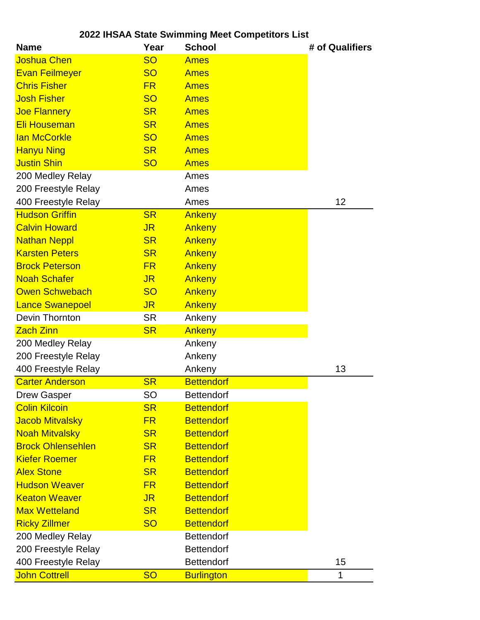| 2022 IHSAA State Swimming Meet Competitors List |                |                   |                 |  |
|-------------------------------------------------|----------------|-------------------|-----------------|--|
| <b>Name</b>                                     | Year           | <b>School</b>     | # of Qualifiers |  |
| <b>Joshua Chen</b>                              | <b>SO</b>      | <b>Ames</b>       |                 |  |
| <b>Evan Feilmeyer</b>                           | <b>SO</b>      | <b>Ames</b>       |                 |  |
| <b>Chris Fisher</b>                             | <b>FR</b>      | <b>Ames</b>       |                 |  |
| <b>Josh Fisher</b>                              | <b>SO</b>      | <b>Ames</b>       |                 |  |
| <b>Joe Flannery</b>                             | <b>SR</b>      | <b>Ames</b>       |                 |  |
| <b>Eli Houseman</b>                             | <b>SR</b>      | <b>Ames</b>       |                 |  |
| <b>lan McCorkle</b>                             | <b>SO</b>      | <b>Ames</b>       |                 |  |
| <b>Hanyu Ning</b>                               | <b>SR</b>      | <b>Ames</b>       |                 |  |
| <b>Justin Shin</b>                              | <b>SO</b>      | <b>Ames</b>       |                 |  |
| 200 Medley Relay                                |                | Ames              |                 |  |
| 200 Freestyle Relay                             |                | Ames              |                 |  |
| 400 Freestyle Relay                             |                | Ames              | 12              |  |
| <b>Hudson Griffin</b>                           | <b>SR</b>      | Ankeny            |                 |  |
| <b>Calvin Howard</b>                            | <b>JR</b>      | Ankeny            |                 |  |
| <b>Nathan Neppl</b>                             | <b>SR</b>      | Ankeny            |                 |  |
| <b>Karsten Peters</b>                           | <b>SR</b>      | Ankeny            |                 |  |
| <b>Brock Peterson</b>                           | <b>FR</b>      | Ankeny            |                 |  |
| <b>Noah Schafer</b>                             | <b>JR</b>      | Ankeny            |                 |  |
| <b>Owen Schwebach</b>                           | <b>SO</b>      | Ankeny            |                 |  |
| <b>Lance Swanepoel</b>                          | J <sub>R</sub> | Ankeny            |                 |  |
| Devin Thornton                                  | <b>SR</b>      | Ankeny            |                 |  |
| <b>Zach Zinn</b>                                | <b>SR</b>      | Ankeny            |                 |  |
| 200 Medley Relay                                |                | Ankeny            |                 |  |
| 200 Freestyle Relay                             |                | Ankeny            |                 |  |
| 400 Freestyle Relay                             |                | Ankeny            | 13              |  |
| <b>Carter Anderson</b>                          | <b>SR</b>      | <b>Bettendorf</b> |                 |  |
| <b>Drew Gasper</b>                              | <b>SO</b>      | <b>Bettendorf</b> |                 |  |
| <b>Colin Kilcoin</b>                            | <b>SR</b>      | <b>Bettendorf</b> |                 |  |
| <b>Jacob Mitvalsky</b>                          | <b>FR</b>      | <b>Bettendorf</b> |                 |  |
| <b>Noah Mitvalsky</b>                           | <b>SR</b>      | <b>Bettendorf</b> |                 |  |
| <b>Brock Ohlensehlen</b>                        | <b>SR</b>      | <b>Bettendorf</b> |                 |  |
| <b>Kiefer Roemer</b>                            | <b>FR</b>      | <b>Bettendorf</b> |                 |  |
| <b>Alex Stone</b>                               | <b>SR</b>      | <b>Bettendorf</b> |                 |  |
| <b>Hudson Weaver</b>                            | <b>FR</b>      | <b>Bettendorf</b> |                 |  |
| <b>Keaton Weaver</b>                            | <b>JR</b>      | <b>Bettendorf</b> |                 |  |
| <b>Max Wetteland</b>                            | <b>SR</b>      | <b>Bettendorf</b> |                 |  |
| <b>Ricky Zillmer</b>                            | <b>SO</b>      | <b>Bettendorf</b> |                 |  |
| 200 Medley Relay                                |                | <b>Bettendorf</b> |                 |  |
| 200 Freestyle Relay                             |                | <b>Bettendorf</b> |                 |  |
| 400 Freestyle Relay                             |                | <b>Bettendorf</b> | 15              |  |
| <b>John Cottrell</b>                            | <b>SO</b>      | <b>Burlington</b> | 1               |  |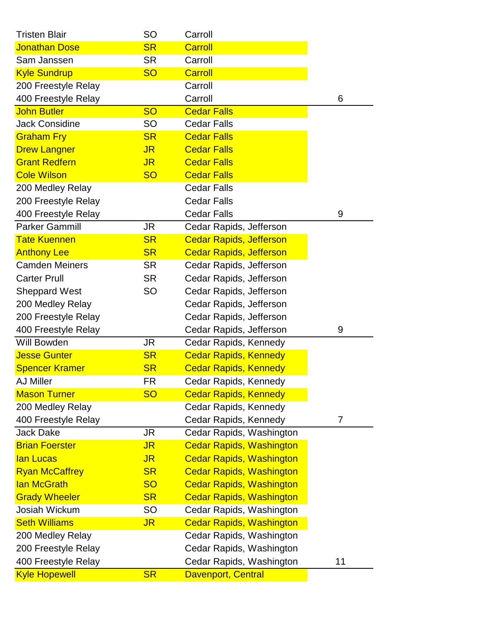| <b>Tristen Blair</b>  | <b>SO</b>      | Carroll                         |                |
|-----------------------|----------------|---------------------------------|----------------|
| <b>Jonathan Dose</b>  | <b>SR</b>      | <b>Carroll</b>                  |                |
| Sam Janssen           | <b>SR</b>      | Carroll                         |                |
| <b>Kyle Sundrup</b>   | <b>SO</b>      | <b>Carroll</b>                  |                |
| 200 Freestyle Relay   |                | Carroll                         |                |
| 400 Freestyle Relay   |                | Carroll                         | 6              |
| <b>John Butler</b>    | <b>SO</b>      | <b>Cedar Falls</b>              |                |
| <b>Jack Considine</b> | <b>SO</b>      | <b>Cedar Falls</b>              |                |
| <b>Graham Fry</b>     | <b>SR</b>      | <b>Cedar Falls</b>              |                |
| <b>Drew Langner</b>   | <b>JR</b>      | <b>Cedar Falls</b>              |                |
| <b>Grant Redfern</b>  | <b>JR</b>      | <b>Cedar Falls</b>              |                |
| <b>Cole Wilson</b>    | <b>SO</b>      | <b>Cedar Falls</b>              |                |
| 200 Medley Relay      |                | <b>Cedar Falls</b>              |                |
| 200 Freestyle Relay   |                | <b>Cedar Falls</b>              |                |
| 400 Freestyle Relay   |                | <b>Cedar Falls</b>              | 9              |
| <b>Parker Gammill</b> | JR             | Cedar Rapids, Jefferson         |                |
| <b>Tate Kuennen</b>   | <b>SR</b>      | <b>Cedar Rapids, Jefferson</b>  |                |
| <b>Anthony Lee</b>    | <b>SR</b>      | <b>Cedar Rapids, Jefferson</b>  |                |
| <b>Camden Meiners</b> | <b>SR</b>      | Cedar Rapids, Jefferson         |                |
| <b>Carter Prull</b>   | <b>SR</b>      | Cedar Rapids, Jefferson         |                |
| <b>Sheppard West</b>  | SO             | Cedar Rapids, Jefferson         |                |
| 200 Medley Relay      |                | Cedar Rapids, Jefferson         |                |
| 200 Freestyle Relay   |                | Cedar Rapids, Jefferson         |                |
| 400 Freestyle Relay   |                | Cedar Rapids, Jefferson         | 9              |
| Will Bowden           | JR             | Cedar Rapids, Kennedy           |                |
| <b>Jesse Gunter</b>   | <b>SR</b>      | <b>Cedar Rapids, Kennedy</b>    |                |
| <b>Spencer Kramer</b> | <b>SR</b>      | <b>Cedar Rapids, Kennedy</b>    |                |
| <b>AJ Miller</b>      | <b>FR</b>      | Cedar Rapids, Kennedy           |                |
| <b>Mason Turner</b>   | <b>SO</b>      | <b>Cedar Rapids, Kennedy</b>    |                |
| 200 Medley Relay      |                | Cedar Rapids, Kennedy           |                |
| 400 Freestyle Relay   |                | Cedar Rapids, Kennedy           | $\overline{7}$ |
| <b>Jack Dake</b>      | <b>JR</b>      | Cedar Rapids, Washington        |                |
| <b>Brian Foerster</b> | J <sub>R</sub> | <b>Cedar Rapids, Washington</b> |                |
| lan Lucas             | J <sub>R</sub> | <b>Cedar Rapids, Washington</b> |                |
| <b>Ryan McCaffrey</b> | <b>SR</b>      | <b>Cedar Rapids, Washington</b> |                |
| lan McGrath           | <b>SO</b>      | <b>Cedar Rapids, Washington</b> |                |
| <b>Grady Wheeler</b>  | <b>SR</b>      | <b>Cedar Rapids, Washington</b> |                |
| Josiah Wickum         | <b>SO</b>      | Cedar Rapids, Washington        |                |
| <b>Seth Williams</b>  | <b>JR</b>      | <b>Cedar Rapids, Washington</b> |                |
| 200 Medley Relay      |                | Cedar Rapids, Washington        |                |
| 200 Freestyle Relay   |                | Cedar Rapids, Washington        |                |
| 400 Freestyle Relay   |                | Cedar Rapids, Washington        | 11             |
| <b>Kyle Hopewell</b>  | <b>SR</b>      | <b>Davenport, Central</b>       |                |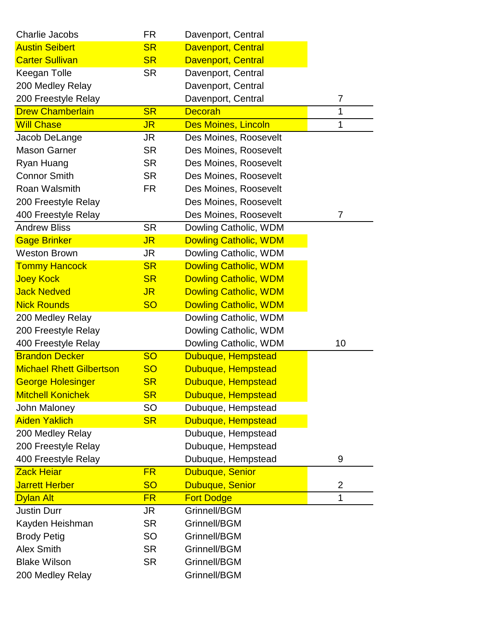| <b>Charlie Jacobs</b>           | <b>FR</b>      | Davenport, Central           |                |
|---------------------------------|----------------|------------------------------|----------------|
| <b>Austin Seibert</b>           | <b>SR</b>      | Davenport, Central           |                |
| <b>Carter Sullivan</b>          | <b>SR</b>      | Davenport, Central           |                |
| Keegan Tolle                    | <b>SR</b>      | Davenport, Central           |                |
| 200 Medley Relay                |                | Davenport, Central           |                |
| 200 Freestyle Relay             |                | Davenport, Central           | $\overline{7}$ |
| <b>Drew Chamberlain</b>         | <b>SR</b>      | <b>Decorah</b>               | 1              |
| <b>Will Chase</b>               | <b>JR</b>      | <b>Des Moines, Lincoln</b>   | 1              |
| Jacob DeLange                   | JR             | Des Moines, Roosevelt        |                |
| <b>Mason Garner</b>             | <b>SR</b>      | Des Moines, Roosevelt        |                |
| Ryan Huang                      | <b>SR</b>      | Des Moines, Roosevelt        |                |
| <b>Connor Smith</b>             | <b>SR</b>      | Des Moines, Roosevelt        |                |
| Roan Walsmith                   | FR.            | Des Moines, Roosevelt        |                |
| 200 Freestyle Relay             |                | Des Moines, Roosevelt        |                |
| 400 Freestyle Relay             |                | Des Moines, Roosevelt        | 7              |
| <b>Andrew Bliss</b>             | <b>SR</b>      | Dowling Catholic, WDM        |                |
| <b>Gage Brinker</b>             | J <sub>R</sub> | <b>Dowling Catholic, WDM</b> |                |
| <b>Weston Brown</b>             | JR             | Dowling Catholic, WDM        |                |
| <b>Tommy Hancock</b>            | <b>SR</b>      | <b>Dowling Catholic, WDM</b> |                |
| <b>Joey Kock</b>                | <b>SR</b>      | <b>Dowling Catholic, WDM</b> |                |
| <b>Jack Nedved</b>              | <b>JR</b>      | <b>Dowling Catholic, WDM</b> |                |
| <b>Nick Rounds</b>              | <b>SO</b>      | <b>Dowling Catholic, WDM</b> |                |
| 200 Medley Relay                |                | Dowling Catholic, WDM        |                |
| 200 Freestyle Relay             |                | Dowling Catholic, WDM        |                |
| 400 Freestyle Relay             |                | Dowling Catholic, WDM        | 10             |
| <b>Brandon Decker</b>           | <b>SO</b>      | Dubuque, Hempstead           |                |
| <b>Michael Rhett Gilbertson</b> | <b>SO</b>      | Dubuque, Hempstead           |                |
| George Holesinger               | <b>SR</b>      | Dubuque, Hempstead           |                |
| <b>Mitchell Konichek</b>        | <b>SR</b>      | Dubuque, Hempstead           |                |
| <b>John Maloney</b>             | SO             | Dubuque, Hempstead           |                |
| <b>Aiden Yaklich</b>            | <b>SR</b>      | Dubuque, Hempstead           |                |
| 200 Medley Relay                |                | Dubuque, Hempstead           |                |
| 200 Freestyle Relay             |                | Dubuque, Hempstead           |                |
| 400 Freestyle Relay             |                | Dubuque, Hempstead           | 9              |
| <b>Zack Heiar</b>               | <b>FR</b>      | Dubuque, Senior              |                |
| <b>Jarrett Herber</b>           | <b>SO</b>      | Dubuque, Senior              | $\overline{2}$ |
| <b>Dylan Alt</b>                | <b>FR</b>      | <b>Fort Dodge</b>            | 1              |
| <b>Justin Durr</b>              | JR             | Grinnell/BGM                 |                |
| Kayden Heishman                 | <b>SR</b>      | Grinnell/BGM                 |                |
| <b>Brody Petig</b>              | SO             | Grinnell/BGM                 |                |
| <b>Alex Smith</b>               | <b>SR</b>      | Grinnell/BGM                 |                |
| <b>Blake Wilson</b>             | <b>SR</b>      | Grinnell/BGM                 |                |
| 200 Medley Relay                |                | Grinnell/BGM                 |                |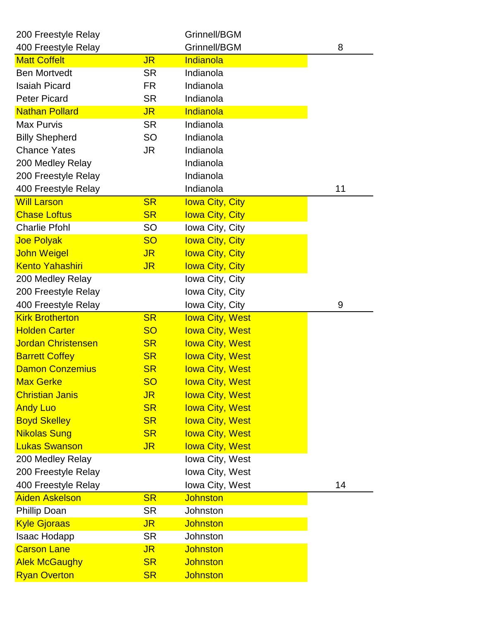| 200 Freestyle Relay       |           | Grinnell/BGM           |    |
|---------------------------|-----------|------------------------|----|
| 400 Freestyle Relay       |           | Grinnell/BGM           | 8  |
| <b>Matt Coffelt</b>       | <b>JR</b> | Indianola              |    |
| <b>Ben Mortvedt</b>       | <b>SR</b> | Indianola              |    |
| <b>Isaiah Picard</b>      | <b>FR</b> | Indianola              |    |
| <b>Peter Picard</b>       | <b>SR</b> | Indianola              |    |
| <b>Nathan Pollard</b>     | <b>JR</b> | Indianola              |    |
| <b>Max Purvis</b>         | <b>SR</b> | Indianola              |    |
| <b>Billy Shepherd</b>     | <b>SO</b> | Indianola              |    |
| <b>Chance Yates</b>       | JR        | Indianola              |    |
| 200 Medley Relay          |           | Indianola              |    |
| 200 Freestyle Relay       |           | Indianola              |    |
| 400 Freestyle Relay       |           | Indianola              | 11 |
| <b>Will Larson</b>        | <b>SR</b> | <b>lowa City, City</b> |    |
| <b>Chase Loftus</b>       | <b>SR</b> | <b>lowa City, City</b> |    |
| <b>Charlie Pfohl</b>      | <b>SO</b> | Iowa City, City        |    |
| <b>Joe Polyak</b>         | <b>SO</b> | <b>lowa City, City</b> |    |
| <b>John Weigel</b>        | <b>JR</b> | <b>Iowa City, City</b> |    |
| <b>Kento Yahashiri</b>    | <b>JR</b> | <b>lowa City, City</b> |    |
| 200 Medley Relay          |           | Iowa City, City        |    |
| 200 Freestyle Relay       |           | Iowa City, City        |    |
| 400 Freestyle Relay       |           | Iowa City, City        | 9  |
| <b>Kirk Brotherton</b>    | <b>SR</b> | <b>lowa City, West</b> |    |
| <b>Holden Carter</b>      | <b>SO</b> | <b>lowa City, West</b> |    |
| <b>Jordan Christensen</b> | <b>SR</b> | <b>lowa City, West</b> |    |
| <b>Barrett Coffey</b>     | <b>SR</b> | <b>lowa City, West</b> |    |
| <b>Damon Conzemius</b>    | <b>SR</b> | <b>lowa City, West</b> |    |
| Max Gerke                 | <b>SO</b> | <b>lowa City, West</b> |    |
| <b>Christian Janis</b>    | <b>JR</b> | <b>lowa City, West</b> |    |
| <b>Andy Luo</b>           | <b>SR</b> | <b>lowa City, West</b> |    |
| <b>Boyd Skelley</b>       | <b>SR</b> | <b>lowa City, West</b> |    |
| <b>Nikolas Sung</b>       | <b>SR</b> | <b>lowa City, West</b> |    |
| <b>Lukas Swanson</b>      | <b>JR</b> | <b>lowa City, West</b> |    |
| 200 Medley Relay          |           | Iowa City, West        |    |
| 200 Freestyle Relay       |           | Iowa City, West        |    |
| 400 Freestyle Relay       |           | Iowa City, West        | 14 |
| <b>Aiden Askelson</b>     | <b>SR</b> | <b>Johnston</b>        |    |
| <b>Phillip Doan</b>       | <b>SR</b> | Johnston               |    |
| <b>Kyle Gjoraas</b>       | <b>JR</b> | <b>Johnston</b>        |    |
| Isaac Hodapp              | <b>SR</b> | Johnston               |    |
| <b>Carson Lane</b>        | <b>JR</b> | <b>Johnston</b>        |    |
| <b>Alek McGaughy</b>      | <b>SR</b> | <b>Johnston</b>        |    |
| <b>Ryan Overton</b>       | <b>SR</b> | <b>Johnston</b>        |    |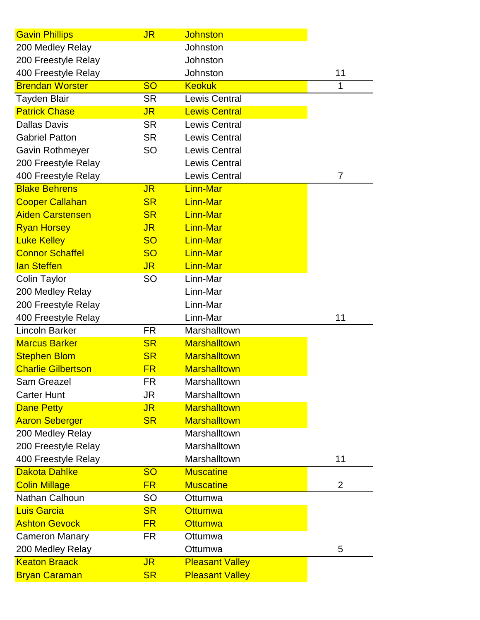| <b>Gavin Phillips</b>     | <b>JR</b>      | <b>Johnston</b>        |                |
|---------------------------|----------------|------------------------|----------------|
| 200 Medley Relay          |                | Johnston               |                |
| 200 Freestyle Relay       |                | Johnston               |                |
| 400 Freestyle Relay       |                | Johnston               | 11             |
| <b>Brendan Worster</b>    | <b>SO</b>      | <b>Keokuk</b>          | 1              |
| <b>Tayden Blair</b>       | <b>SR</b>      | <b>Lewis Central</b>   |                |
| <b>Patrick Chase</b>      | <b>JR</b>      | <b>Lewis Central</b>   |                |
| <b>Dallas Davis</b>       | <b>SR</b>      | <b>Lewis Central</b>   |                |
| <b>Gabriel Patton</b>     | <b>SR</b>      | <b>Lewis Central</b>   |                |
| <b>Gavin Rothmeyer</b>    | <b>SO</b>      | <b>Lewis Central</b>   |                |
| 200 Freestyle Relay       |                | <b>Lewis Central</b>   |                |
| 400 Freestyle Relay       |                | <b>Lewis Central</b>   | 7              |
| <b>Blake Behrens</b>      | <b>JR</b>      | Linn-Mar               |                |
| <b>Cooper Callahan</b>    | <b>SR</b>      | <b>Linn-Mar</b>        |                |
| <b>Aiden Carstensen</b>   | <b>SR</b>      | <b>Linn-Mar</b>        |                |
| <b>Ryan Horsey</b>        | <b>JR</b>      | <b>Linn-Mar</b>        |                |
| <b>Luke Kelley</b>        | <b>SO</b>      | <b>Linn-Mar</b>        |                |
| <b>Connor Schaffel</b>    | <b>SO</b>      | <b>Linn-Mar</b>        |                |
| lan Steffen               | <b>JR</b>      | <b>Linn-Mar</b>        |                |
| <b>Colin Taylor</b>       | <b>SO</b>      | Linn-Mar               |                |
| 200 Medley Relay          |                | Linn-Mar               |                |
| 200 Freestyle Relay       |                | Linn-Mar               |                |
| 400 Freestyle Relay       |                | Linn-Mar               | 11             |
| <b>Lincoln Barker</b>     | FR             | Marshalltown           |                |
| <b>Marcus Barker</b>      | <b>SR</b>      | <b>Marshalltown</b>    |                |
| <b>Stephen Blom</b>       | <b>SR</b>      | <b>Marshalltown</b>    |                |
| <b>Charlie Gilbertson</b> | <b>FR</b>      | <b>Marshalltown</b>    |                |
| Sam Greazel               | FR             | Marshalltown           |                |
| <b>Carter Hunt</b>        | JR             | Marshalltown           |                |
| <b>Dane Petty</b>         | <b>JR</b>      | <b>Marshalltown</b>    |                |
| <b>Aaron Seberger</b>     | <b>SR</b>      | <b>Marshalltown</b>    |                |
| 200 Medley Relay          |                | Marshalltown           |                |
| 200 Freestyle Relay       |                | Marshalltown           |                |
| 400 Freestyle Relay       |                | Marshalltown           | 11             |
| <b>Dakota Dahlke</b>      | <b>SO</b>      | <b>Muscatine</b>       |                |
| <b>Colin Millage</b>      | <b>FR</b>      | <b>Muscatine</b>       | $\overline{2}$ |
| Nathan Calhoun            | <b>SO</b>      | Ottumwa                |                |
| <b>Luis Garcia</b>        | <b>SR</b>      | <b>Ottumwa</b>         |                |
| <b>Ashton Gevock</b>      | <b>FR</b>      | <b>Ottumwa</b>         |                |
| <b>Cameron Manary</b>     | <b>FR</b>      | Ottumwa                |                |
| 200 Medley Relay          |                | Ottumwa                | 5              |
| <b>Keaton Braack</b>      | J <sub>R</sub> | <b>Pleasant Valley</b> |                |
| <b>Bryan Caraman</b>      | <b>SR</b>      | <b>Pleasant Valley</b> |                |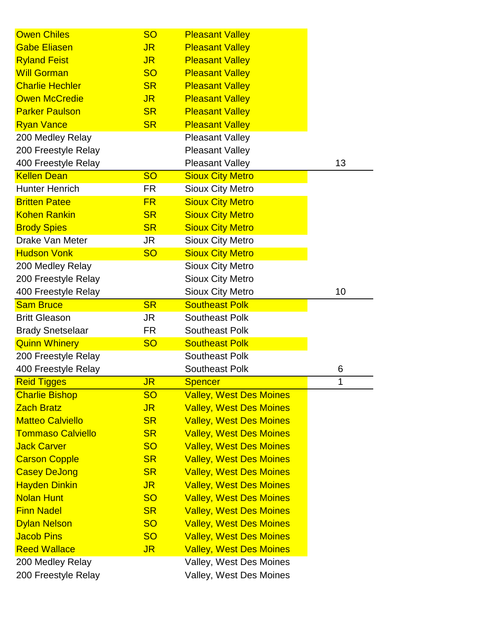| <b>Owen Chiles</b>       | <b>SO</b>      | <b>Pleasant Valley</b>         |    |
|--------------------------|----------------|--------------------------------|----|
| <b>Gabe Eliasen</b>      | <b>JR</b>      | <b>Pleasant Valley</b>         |    |
| <b>Ryland Feist</b>      | J <sub>R</sub> | <b>Pleasant Valley</b>         |    |
| <b>Will Gorman</b>       | <b>SO</b>      | <b>Pleasant Valley</b>         |    |
| <b>Charlie Hechler</b>   | <b>SR</b>      | <b>Pleasant Valley</b>         |    |
| <b>Owen McCredie</b>     | <b>JR</b>      | <b>Pleasant Valley</b>         |    |
| <b>Parker Paulson</b>    | <b>SR</b>      | <b>Pleasant Valley</b>         |    |
| <b>Ryan Vance</b>        | <b>SR</b>      | <b>Pleasant Valley</b>         |    |
| 200 Medley Relay         |                | <b>Pleasant Valley</b>         |    |
| 200 Freestyle Relay      |                | <b>Pleasant Valley</b>         |    |
| 400 Freestyle Relay      |                | <b>Pleasant Valley</b>         | 13 |
| <b>Kellen Dean</b>       | <b>SO</b>      | <b>Sioux City Metro</b>        |    |
| <b>Hunter Henrich</b>    | <b>FR</b>      | <b>Sioux City Metro</b>        |    |
| <b>Britten Patee</b>     | <b>FR</b>      | <b>Sioux City Metro</b>        |    |
| <b>Kohen Rankin</b>      | <b>SR</b>      | <b>Sioux City Metro</b>        |    |
| <b>Brody Spies</b>       | <b>SR</b>      | <b>Sioux City Metro</b>        |    |
| Drake Van Meter          | <b>JR</b>      | <b>Sioux City Metro</b>        |    |
| <b>Hudson Vonk</b>       | <b>SO</b>      | <b>Sioux City Metro</b>        |    |
| 200 Medley Relay         |                | <b>Sioux City Metro</b>        |    |
| 200 Freestyle Relay      |                | <b>Sioux City Metro</b>        |    |
| 400 Freestyle Relay      |                | <b>Sioux City Metro</b>        | 10 |
| <b>Sam Bruce</b>         | <b>SR</b>      | <b>Southeast Polk</b>          |    |
| <b>Britt Gleason</b>     | <b>JR</b>      | <b>Southeast Polk</b>          |    |
| <b>Brady Snetselaar</b>  | <b>FR</b>      | <b>Southeast Polk</b>          |    |
| <b>Quinn Whinery</b>     | <b>SO</b>      | <b>Southeast Polk</b>          |    |
| 200 Freestyle Relay      |                | <b>Southeast Polk</b>          |    |
| 400 Freestyle Relay      |                | <b>Southeast Polk</b>          | 6  |
| <b>Reid Tigges</b>       | J <sub>R</sub> | Spencer                        |    |
| <b>Charlie Bishop</b>    | <b>SO</b>      | <b>Valley, West Des Moines</b> |    |
| <b>Zach Bratz</b>        | <b>JR</b>      | <b>Valley, West Des Moines</b> |    |
| <b>Matteo Calviello</b>  | <b>SR</b>      | <b>Valley, West Des Moines</b> |    |
| <b>Tommaso Calviello</b> | <b>SR</b>      | <b>Valley, West Des Moines</b> |    |
| <b>Jack Carver</b>       | <b>SO</b>      | <b>Valley, West Des Moines</b> |    |
| <b>Carson Copple</b>     | <b>SR</b>      | <b>Valley, West Des Moines</b> |    |
| <b>Casey DeJong</b>      | <b>SR</b>      | <b>Valley, West Des Moines</b> |    |
| <b>Hayden Dinkin</b>     | JR.            | <b>Valley, West Des Moines</b> |    |
| <b>Nolan Hunt</b>        | <b>SO</b>      | <b>Valley, West Des Moines</b> |    |
| <b>Finn Nadel</b>        | <b>SR</b>      | <b>Valley, West Des Moines</b> |    |
| <b>Dylan Nelson</b>      | <b>SO</b>      | <b>Valley, West Des Moines</b> |    |
| <b>Jacob Pins</b>        | <b>SO</b>      | <b>Valley, West Des Moines</b> |    |
| <b>Reed Wallace</b>      | J <sub>R</sub> | <b>Valley, West Des Moines</b> |    |
| 200 Medley Relay         |                | Valley, West Des Moines        |    |
| 200 Freestyle Relay      |                | Valley, West Des Moines        |    |